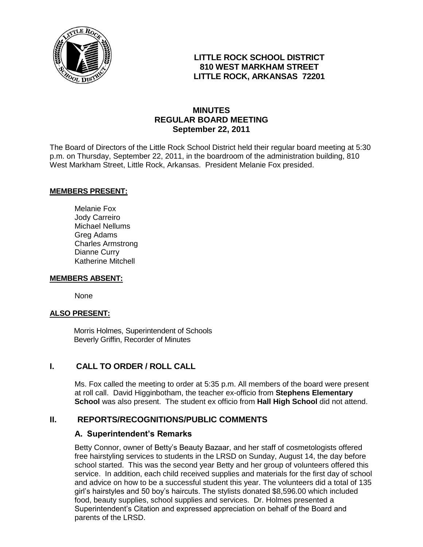

## **LITTLE ROCK SCHOOL DISTRICT 810 WEST MARKHAM STREET LITTLE ROCK, ARKANSAS 72201**

## **MINUTES REGULAR BOARD MEETING September 22, 2011**

The Board of Directors of the Little Rock School District held their regular board meeting at 5:30 p.m. on Thursday, September 22, 2011, in the boardroom of the administration building, 810 West Markham Street, Little Rock, Arkansas. President Melanie Fox presided.

#### **MEMBERS PRESENT:**

Melanie Fox Jody Carreiro Michael Nellums Greg Adams Charles Armstrong Dianne Curry Katherine Mitchell

#### **MEMBERS ABSENT:**

None

#### **ALSO PRESENT:**

 Morris Holmes, Superintendent of Schools Beverly Griffin, Recorder of Minutes

## **I. CALL TO ORDER / ROLL CALL**

Ms. Fox called the meeting to order at 5:35 p.m. All members of the board were present at roll call. David Higginbotham, the teacher ex-officio from **Stephens Elementary School** was also present. The student ex officio from **Hall High School** did not attend.

## **II. REPORTS/RECOGNITIONS/PUBLIC COMMENTS**

#### **A. Superintendent's Remarks**

Betty Connor, owner of Betty's Beauty Bazaar, and her staff of cosmetologists offered free hairstyling services to students in the LRSD on Sunday, August 14, the day before school started. This was the second year Betty and her group of volunteers offered this service. In addition, each child received supplies and materials for the first day of school and advice on how to be a successful student this year. The volunteers did a total of 135 girl's hairstyles and 50 boy's haircuts. The stylists donated \$8,596.00 which included food, beauty supplies, school supplies and services. Dr. Holmes presented a Superintendent's Citation and expressed appreciation on behalf of the Board and parents of the LRSD.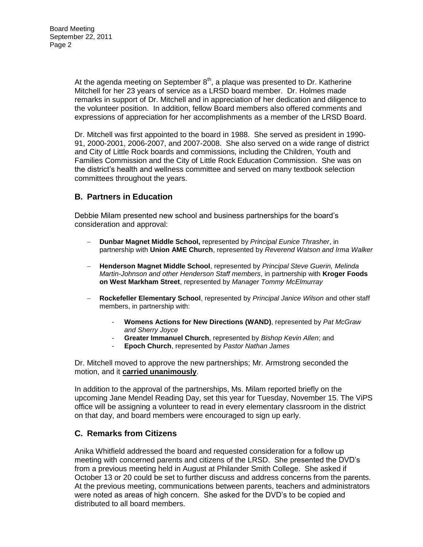At the agenda meeting on September  $8<sup>th</sup>$ , a plaque was presented to Dr. Katherine Mitchell for her 23 years of service as a LRSD board member. Dr. Holmes made remarks in support of Dr. Mitchell and in appreciation of her dedication and diligence to the volunteer position. In addition, fellow Board members also offered comments and expressions of appreciation for her accomplishments as a member of the LRSD Board.

Dr. Mitchell was first appointed to the board in 1988. She served as president in 1990- 91, 2000-2001, 2006-2007, and 2007-2008. She also served on a wide range of district and City of Little Rock boards and commissions, including the Children, Youth and Families Commission and the City of Little Rock Education Commission. She was on the district's health and wellness committee and served on many textbook selection committees throughout the years.

## **B. Partners in Education**

Debbie Milam presented new school and business partnerships for the board's consideration and approval:

- **Dunbar Magnet Middle School,** represented by *Principal Eunice Thrasher*, in partnership with **Union AME Church**, represented by *Reverend Watson and Irma Walker*
- **Henderson Magnet Middle School**, represented by *Principal Steve Guerin, Melinda Martin-Johnson and other Henderson Staff members*, in partnership with **Kroger Foods on West Markham Street**, represented by *Manager Tommy McElmurray*
- **Rockefeller Elementary School**, represented by *Principal Janice Wilson* and other staff members, in partnership with:
	- **Womens Actions for New Directions (WAND)**, represented by *Pat McGraw and Sherry Joyce*
	- **Greater Immanuel Church**, represented by *Bishop Kevin Allen*; and
	- **Epoch Church**, represented by *Pastor Nathan James*

Dr. Mitchell moved to approve the new partnerships; Mr. Armstrong seconded the motion, and it **carried unanimously**.

In addition to the approval of the partnerships, Ms. Milam reported briefly on the upcoming Jane Mendel Reading Day, set this year for Tuesday, November 15. The ViPS office will be assigning a volunteer to read in every elementary classroom in the district on that day, and board members were encouraged to sign up early.

## **C. Remarks from Citizens**

Anika Whitfield addressed the board and requested consideration for a follow up meeting with concerned parents and citizens of the LRSD. She presented the DVD's from a previous meeting held in August at Philander Smith College. She asked if October 13 or 20 could be set to further discuss and address concerns from the parents. At the previous meeting, communications between parents, teachers and administrators were noted as areas of high concern. She asked for the DVD's to be copied and distributed to all board members.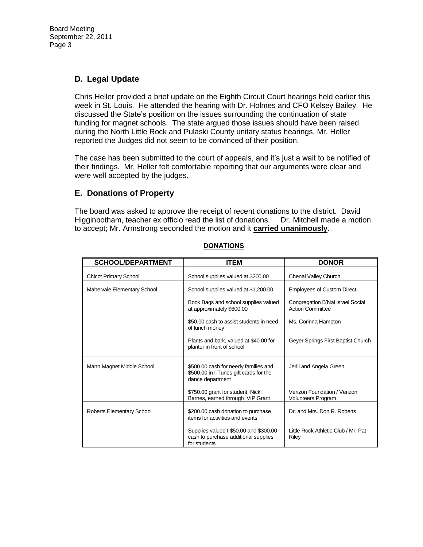# **D. Legal Update**

Chris Heller provided a brief update on the Eighth Circuit Court hearings held earlier this week in St. Louis. He attended the hearing with Dr. Holmes and CFO Kelsey Bailey. He discussed the State's position on the issues surrounding the continuation of state funding for magnet schools. The state argued those issues should have been raised during the North Little Rock and Pulaski County unitary status hearings. Mr. Heller reported the Judges did not seem to be convinced of their position.

The case has been submitted to the court of appeals, and it's just a wait to be notified of their findings. Mr. Heller felt comfortable reporting that our arguments were clear and were well accepted by the judges.

## **E. Donations of Property**

The board was asked to approve the receipt of recent donations to the district. David Higginbotham, teacher ex officio read the list of donations. Dr. Mitchell made a motion to accept; Mr. Armstrong seconded the motion and it **carried unanimously**.

| <b>SCHOOL/DEPARTMENT</b>     | <b>ITEM</b>                                                                                        | <b>DONOR</b>                                                |
|------------------------------|----------------------------------------------------------------------------------------------------|-------------------------------------------------------------|
| <b>Chicot Primary School</b> | School supplies valued at \$200.00                                                                 | Chenal Valley Church                                        |
| Mabelvale Elementary School  | School supplies valued at \$1,200.00                                                               | <b>Employees of Custom Direct</b>                           |
|                              | Book Bags and school supplies valued<br>at approximately \$600.00                                  | Congregation B'Nai Israel Social<br><b>Action Committee</b> |
|                              | \$50.00 cash to assist students in need<br>of lunch money                                          | Ms. Corinna Hampton                                         |
|                              | Plants and bark, valued at \$40,00 for<br>planter in front of school                               | Geyer Springs First Baptist Church                          |
| Mann Magnet Middle School    | \$500.00 cash for needy families and<br>\$500.00 in I-Tunes gift cards for the<br>dance department | Jerill and Angela Green                                     |
|                              | \$750.00 grant for student, Nicki<br>Barnes, earned through VIP Grant                              | Verizon Foundation / Verizon<br><b>Volunteers Program</b>   |
| Roberts Elementary School    | \$200.00 cash donation to purchase<br>items for activities and events                              | Dr. and Mrs. Don R. Roberts                                 |
|                              | Supplies valued t \$50.00 and \$300.00<br>cash to purchase additional supplies<br>for students     | Little Rock Athletic Club / Mr. Pat<br>Riley                |

#### **DONATIONS**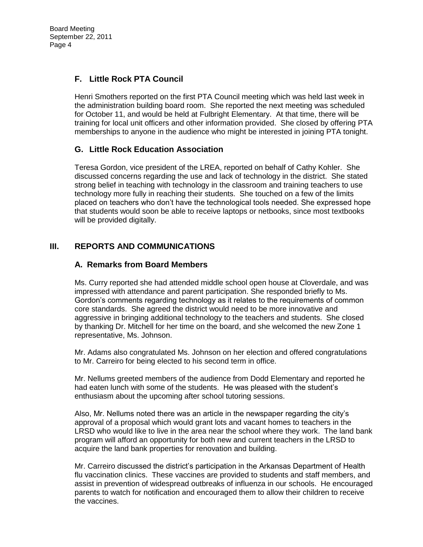# **F. Little Rock PTA Council**

Henri Smothers reported on the first PTA Council meeting which was held last week in the administration building board room. She reported the next meeting was scheduled for October 11, and would be held at Fulbright Elementary. At that time, there will be training for local unit officers and other information provided. She closed by offering PTA memberships to anyone in the audience who might be interested in joining PTA tonight.

## **G. Little Rock Education Association**

Teresa Gordon, vice president of the LREA, reported on behalf of Cathy Kohler. She discussed concerns regarding the use and lack of technology in the district. She stated strong belief in teaching with technology in the classroom and training teachers to use technology more fully in reaching their students. She touched on a few of the limits placed on teachers who don't have the technological tools needed. She expressed hope that students would soon be able to receive laptops or netbooks, since most textbooks will be provided digitally.

## **III. REPORTS AND COMMUNICATIONS**

## **A. Remarks from Board Members**

Ms. Curry reported she had attended middle school open house at Cloverdale, and was impressed with attendance and parent participation. She responded briefly to Ms. Gordon's comments regarding technology as it relates to the requirements of common core standards. She agreed the district would need to be more innovative and aggressive in bringing additional technology to the teachers and students. She closed by thanking Dr. Mitchell for her time on the board, and she welcomed the new Zone 1 representative, Ms. Johnson.

Mr. Adams also congratulated Ms. Johnson on her election and offered congratulations to Mr. Carreiro for being elected to his second term in office.

Mr. Nellums greeted members of the audience from Dodd Elementary and reported he had eaten lunch with some of the students. He was pleased with the student's enthusiasm about the upcoming after school tutoring sessions.

Also, Mr. Nellums noted there was an article in the newspaper regarding the city's approval of a proposal which would grant lots and vacant homes to teachers in the LRSD who would like to live in the area near the school where they work. The land bank program will afford an opportunity for both new and current teachers in the LRSD to acquire the land bank properties for renovation and building.

Mr. Carreiro discussed the district's participation in the Arkansas Department of Health flu vaccination clinics. These vaccines are provided to students and staff members, and assist in prevention of widespread outbreaks of influenza in our schools. He encouraged parents to watch for notification and encouraged them to allow their children to receive the vaccines.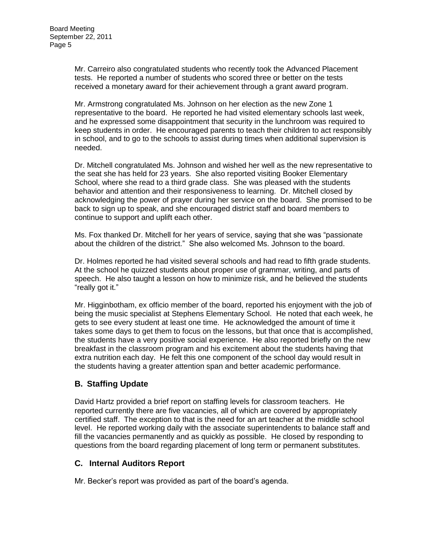Mr. Carreiro also congratulated students who recently took the Advanced Placement tests. He reported a number of students who scored three or better on the tests received a monetary award for their achievement through a grant award program.

Mr. Armstrong congratulated Ms. Johnson on her election as the new Zone 1 representative to the board. He reported he had visited elementary schools last week, and he expressed some disappointment that security in the lunchroom was required to keep students in order. He encouraged parents to teach their children to act responsibly in school, and to go to the schools to assist during times when additional supervision is needed.

Dr. Mitchell congratulated Ms. Johnson and wished her well as the new representative to the seat she has held for 23 years. She also reported visiting Booker Elementary School, where she read to a third grade class. She was pleased with the students behavior and attention and their responsiveness to learning. Dr. Mitchell closed by acknowledging the power of prayer during her service on the board. She promised to be back to sign up to speak, and she encouraged district staff and board members to continue to support and uplift each other.

Ms. Fox thanked Dr. Mitchell for her years of service, saying that she was "passionate about the children of the district." She also welcomed Ms. Johnson to the board.

Dr. Holmes reported he had visited several schools and had read to fifth grade students. At the school he quizzed students about proper use of grammar, writing, and parts of speech. He also taught a lesson on how to minimize risk, and he believed the students "really got it."

Mr. Higginbotham, ex officio member of the board, reported his enjoyment with the job of being the music specialist at Stephens Elementary School. He noted that each week, he gets to see every student at least one time. He acknowledged the amount of time it takes some days to get them to focus on the lessons, but that once that is accomplished, the students have a very positive social experience. He also reported briefly on the new breakfast in the classroom program and his excitement about the students having that extra nutrition each day. He felt this one component of the school day would result in the students having a greater attention span and better academic performance.

# **B. Staffing Update**

David Hartz provided a brief report on staffing levels for classroom teachers. He reported currently there are five vacancies, all of which are covered by appropriately certified staff. The exception to that is the need for an art teacher at the middle school level. He reported working daily with the associate superintendents to balance staff and fill the vacancies permanently and as quickly as possible. He closed by responding to questions from the board regarding placement of long term or permanent substitutes.

## **C. Internal Auditors Report**

Mr. Becker's report was provided as part of the board's agenda.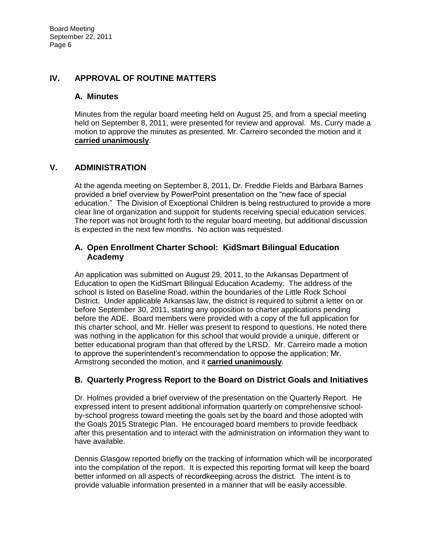## **IV. APPROVAL OF ROUTINE MATTERS**

### **A. Minutes**

Minutes from the regular board meeting held on August 25, and from a special meeting held on September 8, 2011, were presented for review and approval. Ms. Curry made a motion to approve the minutes as presented. Mr. Carreiro seconded the motion and it **carried unanimously**.

## **V. ADMINISTRATION**

At the agenda meeting on September 8, 2011, Dr. Freddie Fields and Barbara Barnes provided a brief overview by PowerPoint presentation on the "new face of special education." The Division of Exceptional Children is being restructured to provide a more clear line of organization and support for students receiving special education services. The report was not brought forth to the regular board meeting, but additional discussion is expected in the next few months. No action was requested.

### **A. Open Enrollment Charter School: KidSmart Bilingual Education Academy**

An application was submitted on August 29, 2011, to the Arkansas Department of Education to open the KidSmart Bilingual Education Academy. The address of the school is listed on Baseline Road, within the boundaries of the Little Rock School District. Under applicable Arkansas law, the district is required to submit a letter on or before September 30, 2011, stating any opposition to charter applications pending before the ADE. Board members were provided with a copy of the full application for this charter school, and Mr. Heller was present to respond to questions. He noted there was nothing in the application for this school that would provide a unique, different or better educational program than that offered by the LRSD. Mr. Carreiro made a motion to approve the superintendent's recommendation to oppose the application; Mr. Armstrong seconded the motion, and it **carried unanimously**.

## **B. Quarterly Progress Report to the Board on District Goals and Initiatives**

Dr. Holmes provided a brief overview of the presentation on the Quarterly Report. He expressed intent to present additional information quarterly on comprehensive schoolby-school progress toward meeting the goals set by the board and those adopted with the Goals 2015 Strategic Plan. He encouraged board members to provide feedback after this presentation and to interact with the administration on information they want to have available.

Dennis Glasgow reported briefly on the tracking of information which will be incorporated into the compilation of the report. It is expected this reporting format will keep the board better informed on all aspects of recordkeeping across the district. The intent is to provide valuable information presented in a manner that will be easily accessible.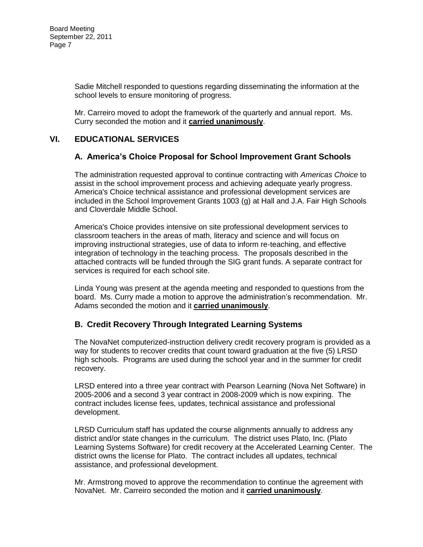Sadie Mitchell responded to questions regarding disseminating the information at the school levels to ensure monitoring of progress.

Mr. Carreiro moved to adopt the framework of the quarterly and annual report. Ms. Curry seconded the motion and it **carried unanimously**.

## **VI. EDUCATIONAL SERVICES**

## **A. America's Choice Proposal for School Improvement Grant Schools**

The administration requested approval to continue contracting with *Americas Choice* to assist in the school improvement process and achieving adequate yearly progress. America's Choice technical assistance and professional development services are included in the School Improvement Grants 1003 (g) at Hall and J.A. Fair High Schools and Cloverdale Middle School.

America's Choice provides intensive on site professional development services to classroom teachers in the areas of math, literacy and science and will focus on improving instructional strategies, use of data to inform re-teaching, and effective integration of technology in the teaching process. The proposals described in the attached contracts will be funded through the SIG grant funds. A separate contract for services is required for each school site.

Linda Young was present at the agenda meeting and responded to questions from the board. Ms. Curry made a motion to approve the administration's recommendation. Mr. Adams seconded the motion and it **carried unanimously**.

## **B. Credit Recovery Through Integrated Learning Systems**

The NovaNet computerized-instruction delivery credit recovery program is provided as a way for students to recover credits that count toward graduation at the five (5) LRSD high schools. Programs are used during the school year and in the summer for credit recovery.

LRSD entered into a three year contract with Pearson Learning (Nova Net Software) in 2005-2006 and a second 3 year contract in 2008-2009 which is now expiring. The contract includes license fees, updates, technical assistance and professional development.

LRSD Curriculum staff has updated the course alignments annually to address any district and/or state changes in the curriculum. The district uses Plato, Inc. (Plato Learning Systems Software) for credit recovery at the Accelerated Learning Center. The district owns the license for Plato. The contract includes all updates, technical assistance, and professional development.

Mr. Armstrong moved to approve the recommendation to continue the agreement with NovaNet. Mr. Carreiro seconded the motion and it **carried unanimously**.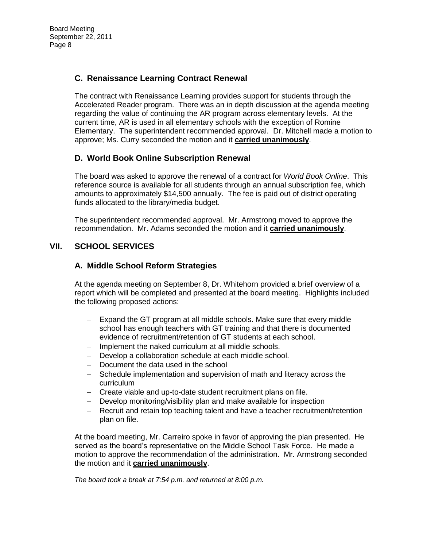# **C. Renaissance Learning Contract Renewal**

The contract with Renaissance Learning provides support for students through the Accelerated Reader program. There was an in depth discussion at the agenda meeting regarding the value of continuing the AR program across elementary levels. At the current time, AR is used in all elementary schools with the exception of Romine Elementary. The superintendent recommended approval. Dr. Mitchell made a motion to approve; Ms. Curry seconded the motion and it **carried unanimously**.

## **D. World Book Online Subscription Renewal**

The board was asked to approve the renewal of a contract for *World Book Online*. This reference source is available for all students through an annual subscription fee, which amounts to approximately \$14,500 annually. The fee is paid out of district operating funds allocated to the library/media budget.

The superintendent recommended approval. Mr. Armstrong moved to approve the recommendation. Mr. Adams seconded the motion and it **carried unanimously**.

# **VII. SCHOOL SERVICES**

## **A. Middle School Reform Strategies**

At the agenda meeting on September 8, Dr. Whitehorn provided a brief overview of a report which will be completed and presented at the board meeting. Highlights included the following proposed actions:

- Expand the GT program at all middle schools. Make sure that every middle school has enough teachers with GT training and that there is documented evidence of recruitment/retention of GT students at each school.
- Implement the naked curriculum at all middle schools.
- Develop a collaboration schedule at each middle school.
- Document the data used in the school
- Schedule implementation and supervision of math and literacy across the curriculum
- Create viable and up-to-date student recruitment plans on file.
- Develop monitoring/visibility plan and make available for inspection
- Recruit and retain top teaching talent and have a teacher recruitment/retention plan on file.

At the board meeting, Mr. Carreiro spoke in favor of approving the plan presented. He served as the board's representative on the Middle School Task Force. He made a motion to approve the recommendation of the administration. Mr. Armstrong seconded the motion and it **carried unanimously**.

*The board took a break at 7:54 p.m. and returned at 8:00 p.m.*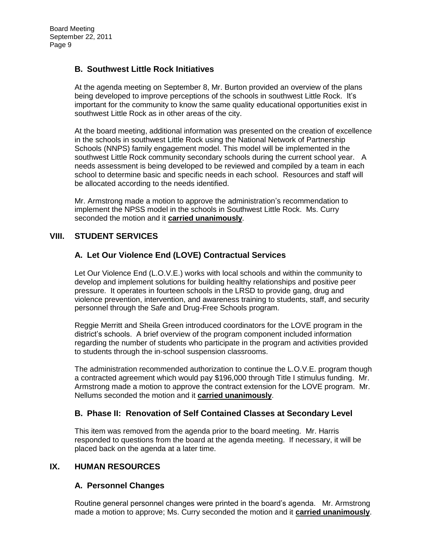### **B. Southwest Little Rock Initiatives**

At the agenda meeting on September 8, Mr. Burton provided an overview of the plans being developed to improve perceptions of the schools in southwest Little Rock. It's important for the community to know the same quality educational opportunities exist in southwest Little Rock as in other areas of the city.

At the board meeting, additional information was presented on the creation of excellence in the schools in southwest Little Rock using the National Network of Partnership Schools (NNPS) family engagement model. This model will be implemented in the southwest Little Rock community secondary schools during the current school year. A needs assessment is being developed to be reviewed and compiled by a team in each school to determine basic and specific needs in each school. Resources and staff will be allocated according to the needs identified.

Mr. Armstrong made a motion to approve the administration's recommendation to implement the NPSS model in the schools in Southwest Little Rock. Ms. Curry seconded the motion and it **carried unanimously**.

## **VIII. STUDENT SERVICES**

## **A. Let Our Violence End (LOVE) Contractual Services**

Let Our Violence End (L.O.V.E.) works with local schools and within the community to develop and implement solutions for building healthy relationships and positive peer pressure. It operates in fourteen schools in the LRSD to provide gang, drug and violence prevention, intervention, and awareness training to students, staff, and security personnel through the Safe and Drug-Free Schools program.

Reggie Merritt and Sheila Green introduced coordinators for the LOVE program in the district's schools. A brief overview of the program component included information regarding the number of students who participate in the program and activities provided to students through the in-school suspension classrooms.

The administration recommended authorization to continue the L.O.V.E. program though a contracted agreement which would pay \$196,000 through Title I stimulus funding. Mr. Armstrong made a motion to approve the contract extension for the LOVE program. Mr. Nellums seconded the motion and it **carried unanimously**.

#### **B. Phase II: Renovation of Self Contained Classes at Secondary Level**

This item was removed from the agenda prior to the board meeting. Mr. Harris responded to questions from the board at the agenda meeting. If necessary, it will be placed back on the agenda at a later time.

#### **IX. HUMAN RESOURCES**

#### **A. Personnel Changes**

Routine general personnel changes were printed in the board's agenda. Mr. Armstrong made a motion to approve; Ms. Curry seconded the motion and it **carried unanimously**.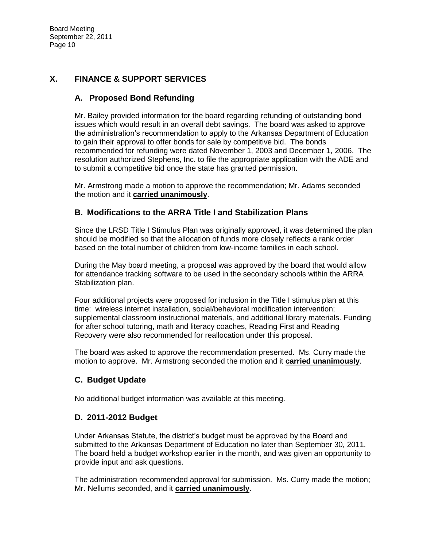# **X. FINANCE & SUPPORT SERVICES**

# **A. Proposed Bond Refunding**

Mr. Bailey provided information for the board regarding refunding of outstanding bond issues which would result in an overall debt savings. The board was asked to approve the administration's recommendation to apply to the Arkansas Department of Education to gain their approval to offer bonds for sale by competitive bid. The bonds recommended for refunding were dated November 1, 2003 and December 1, 2006. The resolution authorized Stephens, Inc. to file the appropriate application with the ADE and to submit a competitive bid once the state has granted permission.

Mr. Armstrong made a motion to approve the recommendation; Mr. Adams seconded the motion and it **carried unanimously**.

## **B. Modifications to the ARRA Title I and Stabilization Plans**

Since the LRSD Title I Stimulus Plan was originally approved, it was determined the plan should be modified so that the allocation of funds more closely reflects a rank order based on the total number of children from low-income families in each school.

During the May board meeting, a proposal was approved by the board that would allow for attendance tracking software to be used in the secondary schools within the ARRA Stabilization plan.

Four additional projects were proposed for inclusion in the Title I stimulus plan at this time: wireless internet installation, social/behavioral modification intervention; supplemental classroom instructional materials, and additional library materials. Funding for after school tutoring, math and literacy coaches, Reading First and Reading Recovery were also recommended for reallocation under this proposal.

The board was asked to approve the recommendation presented. Ms. Curry made the motion to approve. Mr. Armstrong seconded the motion and it **carried unanimously**.

# **C. Budget Update**

No additional budget information was available at this meeting.

## **D. 2011-2012 Budget**

Under Arkansas Statute, the district's budget must be approved by the Board and submitted to the Arkansas Department of Education no later than September 30, 2011. The board held a budget workshop earlier in the month, and was given an opportunity to provide input and ask questions.

The administration recommended approval for submission. Ms. Curry made the motion; Mr. Nellums seconded, and it **carried unanimously**.